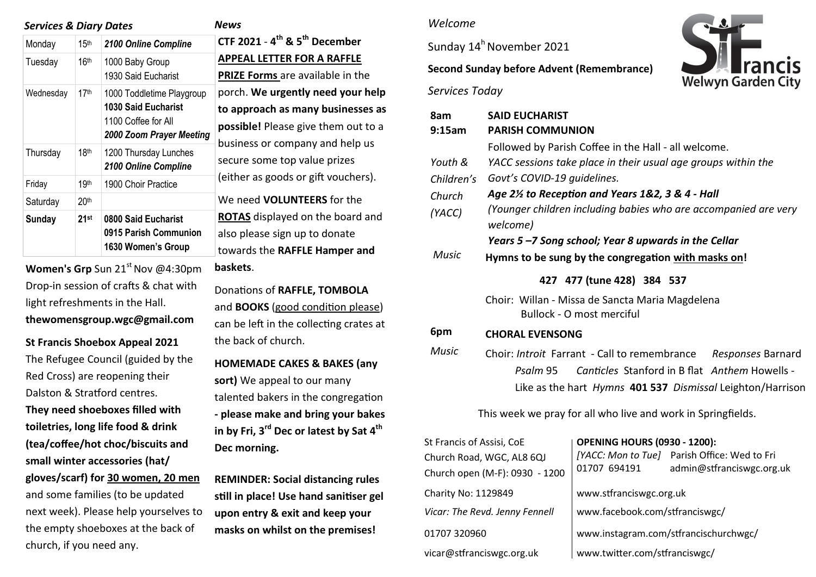| <b>Services &amp; Diary Dates</b> |                  |                                                                                                            | News                          |
|-----------------------------------|------------------|------------------------------------------------------------------------------------------------------------|-------------------------------|
| Monday                            | 15 <sup>th</sup> | 2100 Online Compline                                                                                       | CTF <sub>2</sub>              |
| Tuesday                           | 16 <sup>th</sup> | 1000 Baby Group<br>1930 Said Eucharist                                                                     | <b>APPE</b><br><b>PRIZE</b>   |
| Wednesday                         | 17 <sup>th</sup> | 1000 Toddletime Playgroup<br><b>1030 Said Eucharist</b><br>1100 Coffee for All<br>2000 Zoom Prayer Meeting | porch<br>to ap<br>possi       |
| Thursday                          | 18 <sup>th</sup> | 1200 Thursday Lunches<br>2100 Online Compline                                                              | busin<br>secur                |
| Friday                            | 19th             | 1900 Choir Practice                                                                                        | (eith                         |
| Saturday                          | 20 <sup>th</sup> |                                                                                                            | We n                          |
| Sunday                            | 21st             | 0800 Said Eucharist<br>0915 Parish Communion<br>1630 Women's Group                                         | <b>ROTA</b><br>also p<br>towa |

**Women's Grp** Sun 21<sup>st</sup> Nov @4:30pm Drop-in session of crafts & chat with light refreshments in the Hall. **thewomensgroup.wgc@gmail.com**

**St Francis Shoebox Appeal 2021**  The Refugee Council (guided by the Red Cross) are reopening their Dalston & Stratford centres. **They need shoeboxes filled with toiletries, long life food & drink (tea/coffee/hot choc/biscuits and small winter accessories (hat/ gloves/scarf) for 30 women, 20 men**  and some families (to be updated next week). Please help yourselves to the empty shoeboxes at the back of church, if you need any.

**CTF 2021** - **4 th & 5th December APPEAL LETTER FOR A RAFFLE PRIZE Forms** are available in the porch. **We urgently need your help to approach as many businesses as possible!** Please give them out to a usiness or company and help us ecure some top value prizes either as goods or gift vouchers). We need **VOLUNTEERS** for the **OTAS** displayed on the board and Iso please sign up to donate towards the **RAFFLE Hamper and baskets**. Donations of **RAFFLE, TOMBOLA** and **BOOKS** (good condition please) can be left in the collecting crates at the back of church. **HOMEMADE CAKES & BAKES (any sort)** We appeal to our many talented bakers in the congregation **- please make and bring your bakes** 

**in by Fri, 3rd Dec or latest by Sat 4th Dec morning.** 

**REMINDER: Social distancing rules still in place! Use hand sanitiser gel upon entry & exit and keep your masks on whilst on the premises!** 

#### *Welcome*

Sunday  $14^h$  November 2021

### **Second Sunday before Advent (Remembrance)**

*Services Today*



01707 320960 www.instagram.com/stfrancischurchwgc/

vicar@stfranciswgc.org.uk www.twitter.com/stfranciswgc/